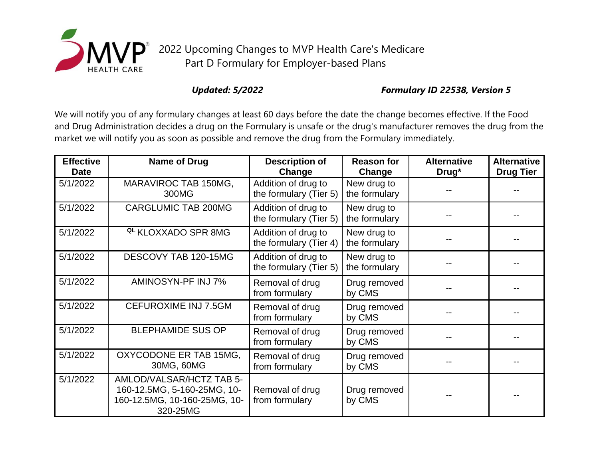

## *Updated: 5/2022 Formulary ID 22538, Version 5*

We will notify you of any formulary changes at least 60 days before the date the change becomes effective. If the Food and Drug Administration decides a drug on the Formulary is unsafe or the drug's manufacturer removes the drug from the market we will notify you as soon as possible and remove the drug from the Formulary immediately.

| <b>Effective</b><br><b>Date</b> | <b>Name of Drug</b>                                                                                 | <b>Description of</b><br>Change               | <b>Reason for</b><br>Change  | <b>Alternative</b><br>Drug* | <b>Alternative</b><br><b>Drug Tier</b> |
|---------------------------------|-----------------------------------------------------------------------------------------------------|-----------------------------------------------|------------------------------|-----------------------------|----------------------------------------|
| 5/1/2022                        | MARAVIROC TAB 150MG,<br>300MG                                                                       | Addition of drug to<br>the formulary (Tier 5) | New drug to<br>the formulary |                             |                                        |
| 5/1/2022                        | <b>CARGLUMIC TAB 200MG</b>                                                                          | Addition of drug to<br>the formulary (Tier 5) | New drug to<br>the formulary |                             |                                        |
| 5/1/2022                        | <sup>QL</sup> KLOXXADO SPR 8MG                                                                      | Addition of drug to<br>the formulary (Tier 4) | New drug to<br>the formulary |                             |                                        |
| 5/1/2022                        | DESCOVY TAB 120-15MG                                                                                | Addition of drug to<br>the formulary (Tier 5) | New drug to<br>the formulary |                             |                                        |
| 5/1/2022                        | AMINOSYN-PF INJ 7%                                                                                  | Removal of drug<br>from formulary             | Drug removed<br>by CMS       |                             |                                        |
| 5/1/2022                        | <b>CEFUROXIME INJ 7.5GM</b>                                                                         | Removal of drug<br>from formulary             | Drug removed<br>by CMS       |                             |                                        |
| 5/1/2022                        | <b>BLEPHAMIDE SUS OP</b>                                                                            | Removal of drug<br>from formulary             | Drug removed<br>by CMS       |                             |                                        |
| 5/1/2022                        | OXYCODONE ER TAB 15MG,<br>30MG, 60MG                                                                | Removal of drug<br>from formulary             | Drug removed<br>by CMS       |                             |                                        |
| 5/1/2022                        | AMLOD/VALSAR/HCTZ TAB 5-<br>160-12.5MG, 5-160-25MG, 10-<br>160-12.5MG, 10-160-25MG, 10-<br>320-25MG | Removal of drug<br>from formulary             | Drug removed<br>by CMS       |                             |                                        |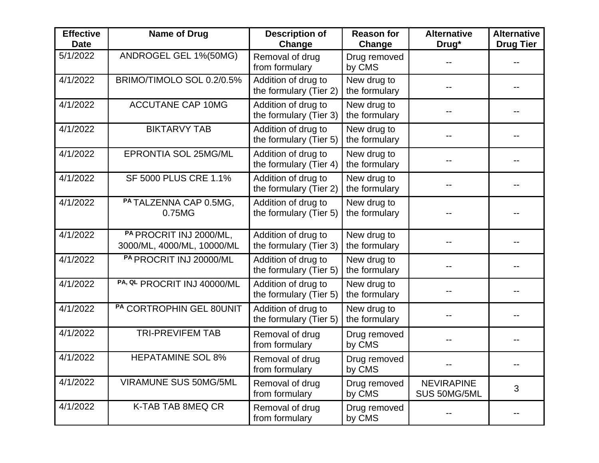| <b>Effective</b><br><b>Date</b> | Name of Drug                                          | <b>Description of</b><br>Change               | <b>Reason for</b><br>Change  | <b>Alternative</b><br>Drug*       | <b>Alternative</b><br><b>Drug Tier</b> |
|---------------------------------|-------------------------------------------------------|-----------------------------------------------|------------------------------|-----------------------------------|----------------------------------------|
| 5/1/2022                        | ANDROGEL GEL 1%(50MG)                                 | Removal of drug<br>from formulary             | Drug removed<br>by CMS       |                                   |                                        |
| 4/1/2022                        | BRIMO/TIMOLO SOL 0.2/0.5%                             | Addition of drug to<br>the formulary (Tier 2) | New drug to<br>the formulary |                                   |                                        |
| 4/1/2022                        | <b>ACCUTANE CAP 10MG</b>                              | Addition of drug to<br>the formulary (Tier 3) | New drug to<br>the formulary |                                   |                                        |
| 4/1/2022                        | <b>BIKTARVY TAB</b>                                   | Addition of drug to<br>the formulary (Tier 5) | New drug to<br>the formulary |                                   |                                        |
| 4/1/2022                        | <b>EPRONTIA SOL 25MG/ML</b>                           | Addition of drug to<br>the formulary (Tier 4) | New drug to<br>the formulary |                                   |                                        |
| 4/1/2022                        | <b>SF 5000 PLUS CRE 1.1%</b>                          | Addition of drug to<br>the formulary (Tier 2) | New drug to<br>the formulary |                                   |                                        |
| 4/1/2022                        | PA TALZENNA CAP 0.5MG,<br>0.75MG                      | Addition of drug to<br>the formulary (Tier 5) | New drug to<br>the formulary |                                   |                                        |
| 4/1/2022                        | PA PROCRIT INJ 2000/ML,<br>3000/ML, 4000/ML, 10000/ML | Addition of drug to<br>the formulary (Tier 3) | New drug to<br>the formulary |                                   |                                        |
| 4/1/2022                        | PA PROCRIT INJ 20000/ML                               | Addition of drug to<br>the formulary (Tier 5) | New drug to<br>the formulary |                                   |                                        |
| 4/1/2022                        | PA, QL PROCRIT INJ 40000/ML                           | Addition of drug to<br>the formulary (Tier 5) | New drug to<br>the formulary |                                   |                                        |
| 4/1/2022                        | PA CORTROPHIN GEL 80UNIT                              | Addition of drug to<br>the formulary (Tier 5) | New drug to<br>the formulary |                                   |                                        |
| 4/1/2022                        | <b>TRI-PREVIFEM TAB</b>                               | Removal of drug<br>from formulary             | Drug removed<br>by CMS       |                                   |                                        |
| 4/1/2022                        | <b>HEPATAMINE SOL 8%</b>                              | Removal of drug<br>from formulary             | Drug removed<br>by CMS       |                                   |                                        |
| 4/1/2022                        | <b>VIRAMUNE SUS 50MG/5ML</b>                          | Removal of drug<br>from formulary             | Drug removed<br>by CMS       | <b>NEVIRAPINE</b><br>SUS 50MG/5ML | 3                                      |
| 4/1/2022                        | K-TAB TAB 8MEQ CR                                     | Removal of drug<br>from formulary             | Drug removed<br>by CMS       |                                   |                                        |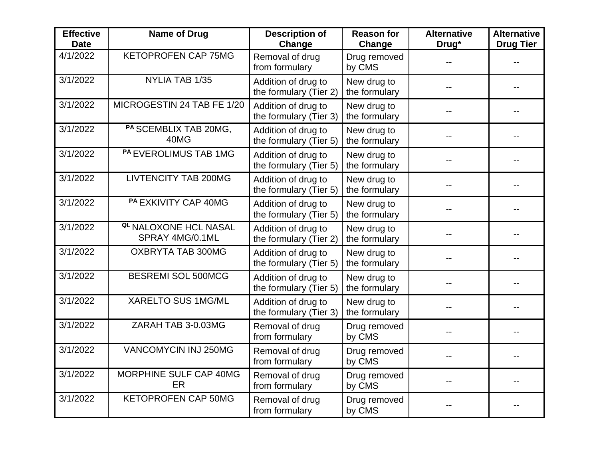| <b>Effective</b><br><b>Date</b> | <b>Name of Drug</b>                             | <b>Description of</b><br>Change               | <b>Reason for</b><br>Change  | <b>Alternative</b><br>Drug* | <b>Alternative</b><br><b>Drug Tier</b> |
|---------------------------------|-------------------------------------------------|-----------------------------------------------|------------------------------|-----------------------------|----------------------------------------|
| 4/1/2022                        | <b>KETOPROFEN CAP 75MG</b>                      | Removal of drug<br>from formulary             | Drug removed<br>by CMS       |                             |                                        |
| 3/1/2022                        | NYLIA TAB 1/35                                  | Addition of drug to<br>the formulary (Tier 2) | New drug to<br>the formulary |                             |                                        |
| 3/1/2022                        | MICROGESTIN 24 TAB FE 1/20                      | Addition of drug to<br>the formulary (Tier 3) | New drug to<br>the formulary |                             |                                        |
| 3/1/2022                        | PA SCEMBLIX TAB 20MG,<br>40MG                   | Addition of drug to<br>the formulary (Tier 5) | New drug to<br>the formulary |                             |                                        |
| 3/1/2022                        | PA EVEROLIMUS TAB 1MG                           | Addition of drug to<br>the formulary (Tier 5) | New drug to<br>the formulary |                             |                                        |
| 3/1/2022                        | <b>LIVTENCITY TAB 200MG</b>                     | Addition of drug to<br>the formulary (Tier 5) | New drug to<br>the formulary |                             |                                        |
| 3/1/2022                        | <b>PA EXKIVITY CAP 40MG</b>                     | Addition of drug to<br>the formulary (Tier 5) | New drug to<br>the formulary |                             |                                        |
| 3/1/2022                        | <b>QL NALOXONE HCL NASAL</b><br>SPRAY 4MG/0.1ML | Addition of drug to<br>the formulary (Tier 2) | New drug to<br>the formulary |                             |                                        |
| 3/1/2022                        | OXBRYTA TAB 300MG                               | Addition of drug to<br>the formulary (Tier 5) | New drug to<br>the formulary |                             |                                        |
| 3/1/2022                        | <b>BESREMI SOL 500MCG</b>                       | Addition of drug to<br>the formulary (Tier 5) | New drug to<br>the formulary |                             |                                        |
| 3/1/2022                        | <b>XARELTO SUS 1MG/ML</b>                       | Addition of drug to<br>the formulary (Tier 3) | New drug to<br>the formulary |                             |                                        |
| $\frac{1}{3}$ /1/2022           | ZARAH TAB 3-0.03MG                              | Removal of drug<br>from formulary             | Drug removed<br>by CMS       |                             |                                        |
| 3/1/2022                        | <b>VANCOMYCIN INJ 250MG</b>                     | Removal of drug<br>from formulary             | Drug removed<br>by CMS       |                             |                                        |
| 3/1/2022                        | MORPHINE SULF CAP 40MG<br>ER                    | Removal of drug<br>from formulary             | Drug removed<br>by CMS       |                             |                                        |
| 3/1/2022                        | <b>KETOPROFEN CAP 50MG</b>                      | Removal of drug<br>from formulary             | Drug removed<br>by CMS       |                             |                                        |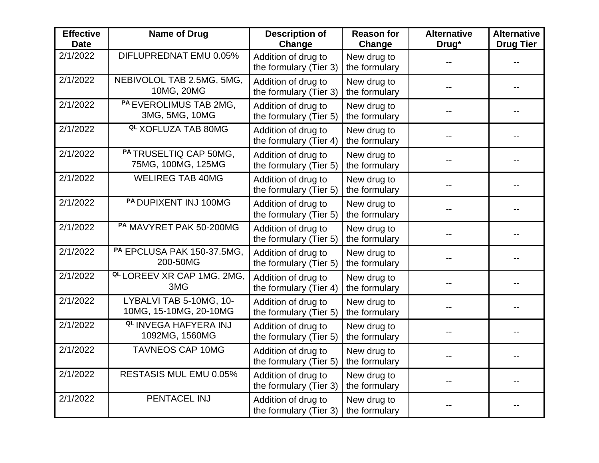| <b>Effective</b><br><b>Date</b> | <b>Name of Drug</b>                               | <b>Description of</b><br>Change               | <b>Reason for</b><br>Change  | <b>Alternative</b><br>Drug* | <b>Alternative</b><br><b>Drug Tier</b> |
|---------------------------------|---------------------------------------------------|-----------------------------------------------|------------------------------|-----------------------------|----------------------------------------|
| 2/1/2022                        | DIFLUPREDNAT EMU 0.05%                            | Addition of drug to<br>the formulary (Tier 3) | New drug to<br>the formulary |                             |                                        |
| 2/1/2022                        | NEBIVOLOL TAB 2.5MG, 5MG,<br>10MG, 20MG           | Addition of drug to<br>the formulary (Tier 3) | New drug to<br>the formulary |                             |                                        |
| 2/1/2022                        | PA EVEROLIMUS TAB 2MG,<br>3MG, 5MG, 10MG          | Addition of drug to<br>the formulary (Tier 5) | New drug to<br>the formulary |                             |                                        |
| 2/1/2022                        | <sup>QL</sup> XOFLUZA TAB 80MG                    | Addition of drug to<br>the formulary (Tier 4) | New drug to<br>the formulary |                             |                                        |
| 2/1/2022                        | PA TRUSELTIQ CAP 50MG,<br>75MG, 100MG, 125MG      | Addition of drug to<br>the formulary (Tier 5) | New drug to<br>the formulary |                             |                                        |
| 2/1/2022                        | <b>WELIREG TAB 40MG</b>                           | Addition of drug to<br>the formulary (Tier 5) | New drug to<br>the formulary |                             |                                        |
| 2/1/2022                        | PA DUPIXENT INJ 100MG                             | Addition of drug to<br>the formulary (Tier 5) | New drug to<br>the formulary |                             |                                        |
| 2/1/2022                        | PA MAVYRET PAK 50-200MG                           | Addition of drug to<br>the formulary (Tier 5) | New drug to<br>the formulary |                             |                                        |
| 2/1/2022                        | PA EPCLUSA PAK 150-37.5MG,<br>200-50MG            | Addition of drug to<br>the formulary (Tier 5) | New drug to<br>the formulary |                             |                                        |
| 2/1/2022                        | <b>QL LOREEV XR CAP 1MG, 2MG,</b><br>3MG          | Addition of drug to<br>the formulary (Tier 4) | New drug to<br>the formulary |                             |                                        |
| 2/1/2022                        | LYBALVI TAB 5-10MG, 10-<br>10MG, 15-10MG, 20-10MG | Addition of drug to<br>the formulary (Tier 5) | New drug to<br>the formulary |                             |                                        |
| 2/1/2022                        | <b>QL INVEGA HAFYERA INJ</b><br>1092MG, 1560MG    | Addition of drug to<br>the formulary (Tier 5) | New drug to<br>the formulary |                             |                                        |
| 2/1/2022                        | <b>TAVNEOS CAP 10MG</b>                           | Addition of drug to<br>the formulary (Tier 5) | New drug to<br>the formulary |                             |                                        |
| 2/1/2022                        | <b>RESTASIS MUL EMU 0.05%</b>                     | Addition of drug to<br>the formulary (Tier 3) | New drug to<br>the formulary |                             |                                        |
| 2/1/2022                        | PENTACEL INJ                                      | Addition of drug to<br>the formulary (Tier 3) | New drug to<br>the formulary |                             |                                        |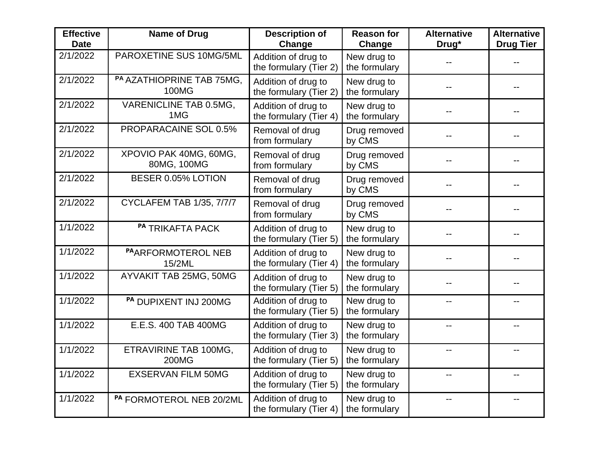| <b>Effective</b><br><b>Date</b> | <b>Name of Drug</b>                       | <b>Description of</b><br>Change               | <b>Reason for</b><br>Change  | <b>Alternative</b><br>Drug* | <b>Alternative</b><br><b>Drug Tier</b> |
|---------------------------------|-------------------------------------------|-----------------------------------------------|------------------------------|-----------------------------|----------------------------------------|
| 2/1/2022                        | PAROXETINE SUS 10MG/5ML                   | Addition of drug to<br>the formulary (Tier 2) | New drug to<br>the formulary |                             |                                        |
| 2/1/2022                        | PA AZATHIOPRINE TAB 75MG,<br><b>100MG</b> | Addition of drug to<br>the formulary (Tier 2) | New drug to<br>the formulary |                             |                                        |
| 2/1/2022                        | VARENICLINE TAB 0.5MG,<br>1MG             | Addition of drug to<br>the formulary (Tier 4) | New drug to<br>the formulary |                             |                                        |
| 2/1/2022                        | PROPARACAINE SOL 0.5%                     | Removal of drug<br>from formulary             | Drug removed<br>by CMS       |                             |                                        |
| 2/1/2022                        | XPOVIO PAK 40MG, 60MG,<br>80MG, 100MG     | Removal of drug<br>from formulary             | Drug removed<br>by CMS       |                             |                                        |
| 2/1/2022                        | BESER 0.05% LOTION                        | Removal of drug<br>from formulary             | Drug removed<br>by CMS       |                             |                                        |
| 2/1/2022                        | <b>CYCLAFEM TAB 1/35, 7/7/7</b>           | Removal of drug<br>from formulary             | Drug removed<br>by CMS       |                             |                                        |
| 1/1/2022                        | PA TRIKAFTA PACK                          | Addition of drug to<br>the formulary (Tier 5) | New drug to<br>the formulary |                             |                                        |
| 1/1/2022                        | PAARFORMOTEROL NEB<br>15/2ML              | Addition of drug to<br>the formulary (Tier 4) | New drug to<br>the formulary |                             |                                        |
| 1/1/2022                        | <b>AYVAKIT TAB 25MG, 50MG</b>             | Addition of drug to<br>the formulary (Tier 5) | New drug to<br>the formulary |                             |                                        |
| 1/1/2022                        | PA DUPIXENT INJ 200MG                     | Addition of drug to<br>the formulary (Tier 5) | New drug to<br>the formulary |                             |                                        |
| 1/1/2022                        | E.E.S. 400 TAB 400MG                      | Addition of drug to<br>the formulary (Tier 3) | New drug to<br>the formulary | $-$                         | --                                     |
| 1/1/2022                        | ETRAVIRINE TAB 100MG,<br><b>200MG</b>     | Addition of drug to<br>the formulary (Tier 5) | New drug to<br>the formulary |                             |                                        |
| 1/1/2022                        | <b>EXSERVAN FILM 50MG</b>                 | Addition of drug to<br>the formulary (Tier 5) | New drug to<br>the formulary |                             | $-1$                                   |
| 1/1/2022                        | PA FORMOTEROL NEB 20/2ML                  | Addition of drug to<br>the formulary (Tier 4) | New drug to<br>the formulary |                             | --                                     |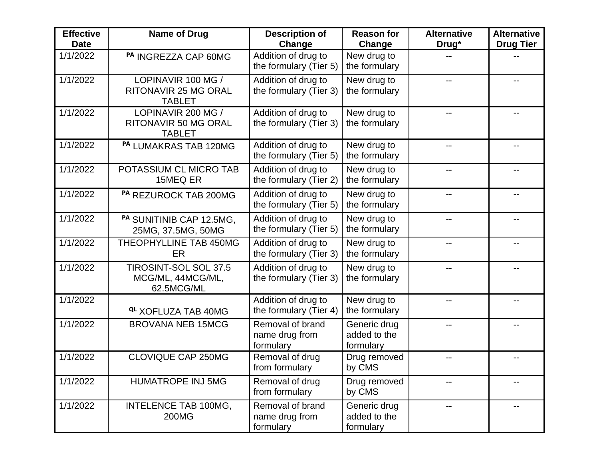| <b>Effective</b><br><b>Date</b> | Name of Drug                                                       | <b>Description of</b><br>Change                 | <b>Reason for</b><br>Change               | <b>Alternative</b><br>Drug* | <b>Alternative</b><br><b>Drug Tier</b> |
|---------------------------------|--------------------------------------------------------------------|-------------------------------------------------|-------------------------------------------|-----------------------------|----------------------------------------|
| 1/1/2022                        | PA INGREZZA CAP 60MG                                               | Addition of drug to<br>the formulary (Tier 5)   | New drug to<br>the formulary              |                             |                                        |
| 1/1/2022                        | LOPINAVIR 100 MG /<br><b>RITONAVIR 25 MG ORAL</b><br><b>TABLET</b> | Addition of drug to<br>the formulary (Tier 3)   | New drug to<br>the formulary              |                             |                                        |
| 1/1/2022                        | LOPINAVIR 200 MG /<br><b>RITONAVIR 50 MG ORAL</b><br><b>TABLET</b> | Addition of drug to<br>the formulary (Tier 3)   | New drug to<br>the formulary              |                             |                                        |
| 1/1/2022                        | PA LUMAKRAS TAB 120MG                                              | Addition of drug to<br>the formulary (Tier 5)   | New drug to<br>the formulary              |                             | $-1$                                   |
| 1/1/2022                        | POTASSIUM CL MICRO TAB<br>15MEQ ER                                 | Addition of drug to<br>the formulary (Tier 2)   | New drug to<br>the formulary              |                             |                                        |
| 1/1/2022                        | PA REZUROCK TAB 200MG                                              | Addition of drug to<br>the formulary (Tier 5)   | New drug to<br>the formulary              |                             |                                        |
| 1/1/2022                        | PA SUNITINIB CAP 12.5MG,<br>25MG, 37.5MG, 50MG                     | Addition of drug to<br>the formulary (Tier 5)   | New drug to<br>the formulary              | $-$                         | $-$                                    |
| 1/1/2022                        | THEOPHYLLINE TAB 450MG<br>ER                                       | Addition of drug to<br>the formulary (Tier 3)   | New drug to<br>the formulary              |                             |                                        |
| 1/1/2022                        | <b>TIROSINT-SOL SOL 37.5</b><br>MCG/ML, 44MCG/ML,<br>62.5MCG/ML    | Addition of drug to<br>the formulary (Tier 3)   | New drug to<br>the formulary              |                             |                                        |
| 1/1/2022                        | <sup>QL</sup> XOFLUZA TAB 40MG                                     | Addition of drug to<br>the formulary (Tier 4)   | New drug to<br>the formulary              |                             | --                                     |
| 1/1/2022                        | <b>BROVANA NEB 15MCG</b>                                           | Removal of brand<br>name drug from<br>formulary | Generic drug<br>added to the<br>formulary |                             |                                        |
| 1/1/2022                        | <b>CLOVIQUE CAP 250MG</b>                                          | Removal of drug<br>from formulary               | Drug removed<br>by CMS                    |                             |                                        |
| 1/1/2022                        | <b>HUMATROPE INJ 5MG</b>                                           | Removal of drug<br>from formulary               | Drug removed<br>by CMS                    |                             | --                                     |
| 1/1/2022                        | INTELENCE TAB 100MG,<br>200MG                                      | Removal of brand<br>name drug from<br>formulary | Generic drug<br>added to the<br>formulary | $-$                         | $-$                                    |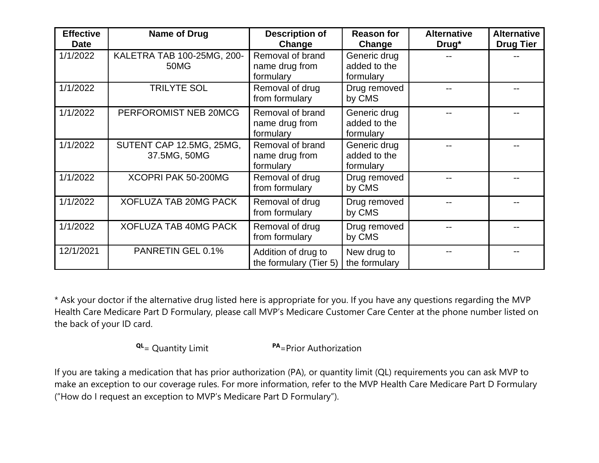| <b>Effective</b><br><b>Date</b> | <b>Name of Drug</b>                      | <b>Description of</b><br>Change                 | <b>Reason for</b><br>Change               | <b>Alternative</b><br>Drug* | <b>Alternative</b><br><b>Drug Tier</b> |
|---------------------------------|------------------------------------------|-------------------------------------------------|-------------------------------------------|-----------------------------|----------------------------------------|
| 1/1/2022                        | KALETRA TAB 100-25MG, 200-<br>50MG       | Removal of brand<br>name drug from<br>formulary | Generic drug<br>added to the<br>formulary |                             |                                        |
| 1/1/2022                        | <b>TRILYTE SOL</b>                       | Removal of drug<br>from formulary               | Drug removed<br>by CMS                    |                             |                                        |
| 1/1/2022                        | PERFOROMIST NEB 20MCG                    | Removal of brand<br>name drug from<br>formulary | Generic drug<br>added to the<br>formulary |                             |                                        |
| 1/1/2022                        | SUTENT CAP 12.5MG, 25MG,<br>37.5MG, 50MG | Removal of brand<br>name drug from<br>formulary | Generic drug<br>added to the<br>formulary |                             |                                        |
| 1/1/2022                        | XCOPRI PAK 50-200MG                      | Removal of drug<br>from formulary               | Drug removed<br>by CMS                    |                             |                                        |
| 1/1/2022                        | <b>XOFLUZA TAB 20MG PACK</b>             | Removal of drug<br>from formulary               | Drug removed<br>by CMS                    |                             |                                        |
| 1/1/2022                        | <b>XOFLUZA TAB 40MG PACK</b>             | Removal of drug<br>from formulary               | Drug removed<br>by CMS                    |                             |                                        |
| 12/1/2021                       | PANRETIN GEL 0.1%                        | Addition of drug to<br>the formulary (Tier 5)   | New drug to<br>the formulary              |                             |                                        |

\* Ask your doctor if the alternative drug listed here is appropriate for you. If you have any questions regarding the MVP Health Care Medicare Part D Formulary, please call MVP's Medicare Customer Care Center at the phone number listed on the back of your ID card.

**QL**= Quantity Limit **PA**=Prior Authorization

If you are taking a medication that has prior authorization (PA), or quantity limit (QL) requirements you can ask MVP to make an exception to our coverage rules. For more information, refer to the MVP Health Care Medicare Part D Formulary ("How do I request an exception to MVP's Medicare Part D Formulary").